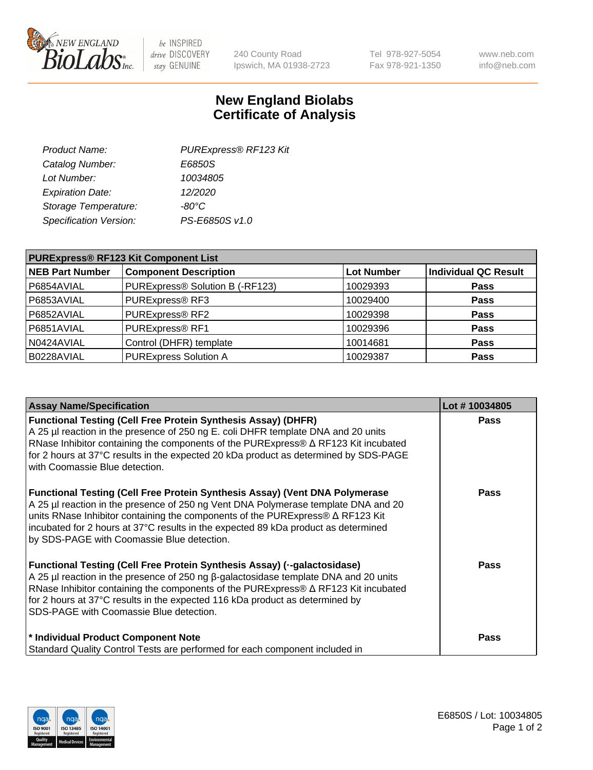

 $be$  INSPIRED drive DISCOVERY stay GENUINE

240 County Road Ipswich, MA 01938-2723 Tel 978-927-5054 Fax 978-921-1350 www.neb.com info@neb.com

## **New England Biolabs Certificate of Analysis**

| Product Name:           | PURExpress® RF123 Kit |
|-------------------------|-----------------------|
| Catalog Number:         | E6850S                |
| Lot Number:             | 10034805              |
| <b>Expiration Date:</b> | 12/2020               |
| Storage Temperature:    | $-80^{\circ}$ C       |
| Specification Version:  | PS-E6850S v1.0        |
|                         |                       |

| <b>PURExpress® RF123 Kit Component List</b> |                                 |                   |                             |  |
|---------------------------------------------|---------------------------------|-------------------|-----------------------------|--|
| <b>NEB Part Number</b>                      | <b>Component Description</b>    | <b>Lot Number</b> | <b>Individual QC Result</b> |  |
| P6854AVIAL                                  | PURExpress® Solution B (-RF123) | 10029393          | <b>Pass</b>                 |  |
| P6853AVIAL                                  | PURExpress® RF3                 | 10029400          | <b>Pass</b>                 |  |
| P6852AVIAL                                  | PURExpress® RF2                 | 10029398          | <b>Pass</b>                 |  |
| P6851AVIAL                                  | PURExpress® RF1                 | 10029396          | <b>Pass</b>                 |  |
| N0424AVIAL                                  | Control (DHFR) template         | 10014681          | <b>Pass</b>                 |  |
| B0228AVIAL                                  | <b>PURExpress Solution A</b>    | 10029387          | <b>Pass</b>                 |  |

| <b>Assay Name/Specification</b>                                                                                                                                                                                                                                                                                                                                                                 | Lot #10034805 |
|-------------------------------------------------------------------------------------------------------------------------------------------------------------------------------------------------------------------------------------------------------------------------------------------------------------------------------------------------------------------------------------------------|---------------|
| <b>Functional Testing (Cell Free Protein Synthesis Assay) (DHFR)</b><br>A 25 µl reaction in the presence of 250 ng E. coli DHFR template DNA and 20 units<br>RNase Inhibitor containing the components of the PURExpress® ∆ RF123 Kit incubated<br>for 2 hours at 37°C results in the expected 20 kDa product as determined by SDS-PAGE<br>with Coomassie Blue detection.                       | <b>Pass</b>   |
| Functional Testing (Cell Free Protein Synthesis Assay) (Vent DNA Polymerase<br>A 25 µl reaction in the presence of 250 ng Vent DNA Polymerase template DNA and 20<br>units RNase Inhibitor containing the components of the PURExpress® ∆ RF123 Kit<br>incubated for 2 hours at 37°C results in the expected 89 kDa product as determined<br>by SDS-PAGE with Coomassie Blue detection.         | <b>Pass</b>   |
| Functional Testing (Cell Free Protein Synthesis Assay) (--galactosidase)<br>A 25 µl reaction in the presence of 250 ng $\beta$ -galactosidase template DNA and 20 units<br>RNase Inhibitor containing the components of the PURExpress® $\Delta$ RF123 Kit incubated<br>for 2 hours at 37°C results in the expected 116 kDa product as determined by<br>SDS-PAGE with Coomassie Blue detection. | <b>Pass</b>   |
| * Individual Product Component Note<br>Standard Quality Control Tests are performed for each component included in                                                                                                                                                                                                                                                                              | <b>Pass</b>   |